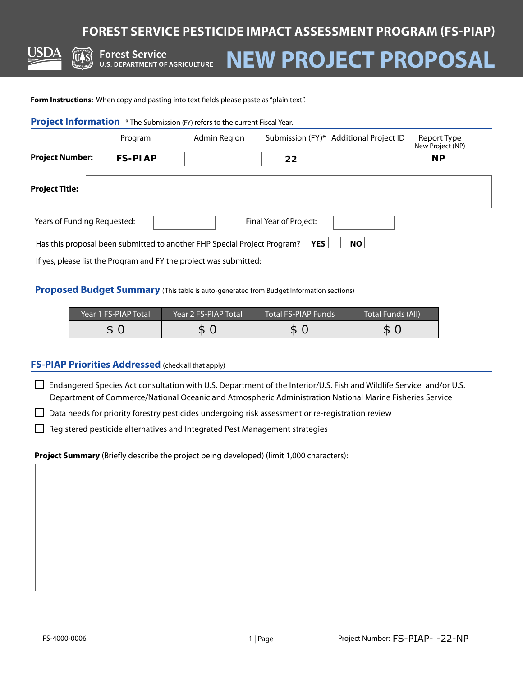# **FOREST SERVICE PESTICIDE IMPACT ASSESSMENT PROGRAM (FS-PIAP)**

**Forest Service FUTEST SET VICE**<br>U.S. DEPARTMENT OF AGRICULTURE

# **NEW PROJECT PROPOSAL**

**Form Instructions:** When copy and pasting into text fields please paste as "plain text".

|  | Project Information * The Submission (FY) refers to the current Fiscal Year. |
|--|------------------------------------------------------------------------------|
|--|------------------------------------------------------------------------------|

|                             | Program                                                    | <b>Admin Region</b>                                                                              |                            | Submission (FY)* Additional Project ID                                                                              | Report Type<br>New Project (NP) |
|-----------------------------|------------------------------------------------------------|--------------------------------------------------------------------------------------------------|----------------------------|---------------------------------------------------------------------------------------------------------------------|---------------------------------|
| <b>Project Number:</b>      | <b>FS-PIAP</b>                                             |                                                                                                  | 22                         |                                                                                                                     | <b>NP</b>                       |
| <b>Project Title:</b>       |                                                            |                                                                                                  |                            |                                                                                                                     |                                 |
| Years of Funding Requested: |                                                            |                                                                                                  | Final Year of Project:     |                                                                                                                     |                                 |
|                             |                                                            | Has this proposal been submitted to another FHP Special Project Program?                         | <b>YES</b>                 | <b>NO</b>                                                                                                           |                                 |
|                             |                                                            | If yes, please list the Program and FY the project was submitted:                                |                            |                                                                                                                     |                                 |
|                             |                                                            | Proposed Budget Summary (This table is auto-generated from Budget Information sections)          |                            |                                                                                                                     |                                 |
|                             | Year 1 FS-PIAP Total                                       | Year 2 FS-PIAP Total                                                                             | <b>Total FS-PIAP Funds</b> | <b>Total Funds (All)</b>                                                                                            |                                 |
|                             | \$0                                                        | \$0                                                                                              | \$0                        | \$0                                                                                                                 |                                 |
| $\Box$                      | <b>FS-PIAP Priorities Addressed</b> (check all that apply) |                                                                                                  |                            | Endangered Species Act consultation with U.S. Department of the Interior/U.S. Fish and Wildlife Service and/or U.S. |                                 |
|                             |                                                            |                                                                                                  |                            | Department of Commerce/National Oceanic and Atmospheric Administration National Marine Fisheries Service            |                                 |
|                             |                                                            | Data needs for priority forestry pesticides undergoing risk assessment or re-registration review |                            |                                                                                                                     |                                 |
|                             |                                                            | Registered pesticide alternatives and Integrated Pest Management strategies                      |                            |                                                                                                                     |                                 |
|                             |                                                            | Project Summary (Briefly describe the project being developed) (limit 1,000 characters):         |                            |                                                                                                                     |                                 |
|                             |                                                            |                                                                                                  |                            |                                                                                                                     |                                 |
|                             |                                                            |                                                                                                  |                            |                                                                                                                     |                                 |
|                             |                                                            |                                                                                                  |                            |                                                                                                                     |                                 |
|                             |                                                            |                                                                                                  |                            |                                                                                                                     |                                 |
|                             |                                                            |                                                                                                  |                            |                                                                                                                     |                                 |
|                             |                                                            |                                                                                                  |                            |                                                                                                                     |                                 |
|                             |                                                            |                                                                                                  |                            |                                                                                                                     |                                 |
|                             |                                                            |                                                                                                  |                            |                                                                                                                     |                                 |
|                             |                                                            |                                                                                                  |                            |                                                                                                                     |                                 |
| FS-4000-0006                |                                                            |                                                                                                  | 1   Page                   | Project Number: FS-PIAP- -22-NP                                                                                     |                                 |

#### **Proposed Budget Summary** (This table is auto-generated from Budget Information sections)

| Year 1 FS-PIAP Total | Year 2 FS-PIAP Total | <b>Total FS-PIAP Funds</b> | Total Funds (All) |
|----------------------|----------------------|----------------------------|-------------------|
|                      |                      |                            | \$                |

#### **FS-PIAP Priorities Addressed** (check all that apply)

#### **Project Summary** (Briefly describe the project being developed) (limit 1,000 characters):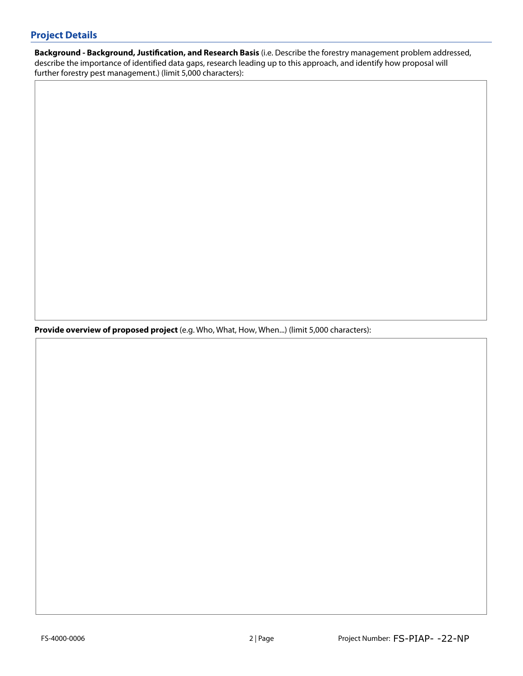## **Project Details**

**Background - Background, Justification, and Research Basis** (i.e. Describe the forestry management problem addressed, describe the importance of identified data gaps, research leading up to this approach, and identify how proposal will further forestry pest management.) (limit 5,000 characters):

**Provide overview of proposed project** (e.g. Who, What, How, When...) (limit 5,000 characters):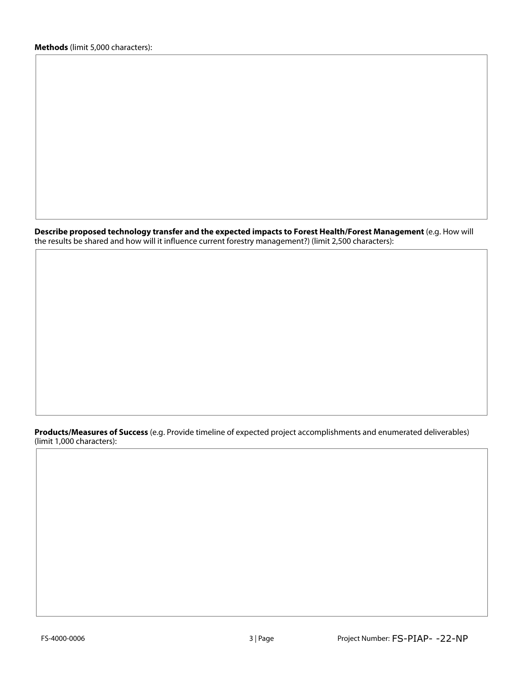**Describe proposed technology transfer and the expected impacts to Forest Health/Forest Management** (e.g. How will the results be shared and how will it influence current forestry management?) (limit 2,500 characters):

**Products/Measures of Success** (e.g. Provide timeline of expected project accomplishments and enumerated deliverables) (limit 1,000 characters):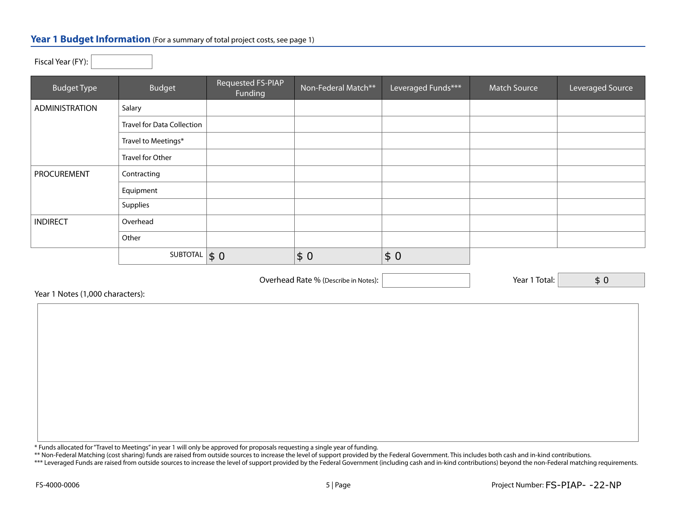#### Year 1 Budget Information (For a summary of total project costs, see page 1)

| $1.5$ car icar (1 1 ). |                                   |                              |                     |                    |              |                  |
|------------------------|-----------------------------------|------------------------------|---------------------|--------------------|--------------|------------------|
| <b>Budget Type</b>     | <b>Budget</b>                     | Requested FS-PIAP<br>Funding | Non-Federal Match** | Leveraged Funds*** | Match Source | Leveraged Source |
| ADMINISTRATION         | Salary                            |                              |                     |                    |              |                  |
|                        | <b>Travel for Data Collection</b> |                              |                     |                    |              |                  |
|                        | Travel to Meetings*               |                              |                     |                    |              |                  |
|                        | Travel for Other                  |                              |                     |                    |              |                  |
| PROCUREMENT            | Contracting                       |                              |                     |                    |              |                  |
|                        | Equipment                         |                              |                     |                    |              |                  |
|                        | Supplies                          |                              |                     |                    |              |                  |
| <b>INDIRECT</b>        | Overhead                          |                              |                     |                    |              |                  |
|                        | Other                             |                              |                     |                    |              |                  |
|                        | SUBTOTAL                          | $\vert \xi 0 \vert$          | \$0                 | \$0                |              |                  |

Overhead Rate % (Describe in Notes):  $\vert$  (Secretary 2011) 7 | Year 1 Total:

\$ 0

Year 1 Notes (1,000 characters):

Fiscal Year (FY):

\* Funds allocated for "Travel to Meetings" in year 1 will only be approved for proposals requesting a single year of funding.

\*\* Non-Federal Matching (cost sharing) funds are raised from outside sources to increase the level of support provided by the Federal Government. This includes both cash and in-kind contributions.

\*\*\* Leveraged Funds are raised from outside sources to increase the level of support provided by the Federal Government (including cash and in-kind contributions) beyond the non-Federal matching requirements.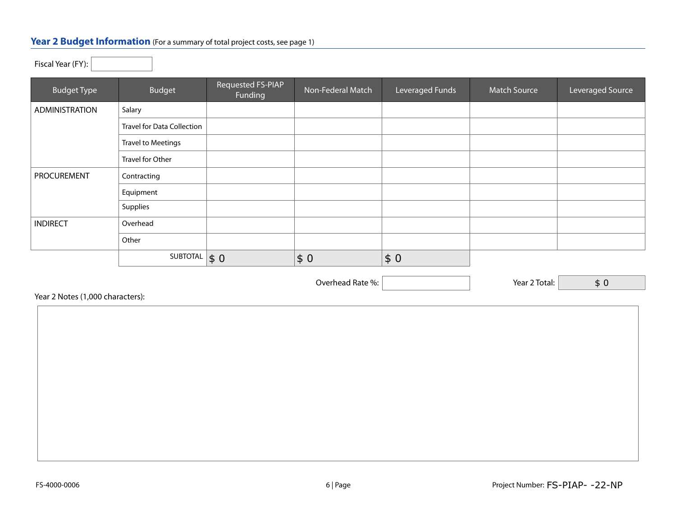## Year 2 Budget Information (For a summary of total project costs, see page 1)

Fiscal Year (FY):

| <b>Budget Type</b> | Budget                            | Requested FS-PIAP<br>Funding | Non-Federal Match | Leveraged Funds | <b>Match Source</b> | Leveraged Source |
|--------------------|-----------------------------------|------------------------------|-------------------|-----------------|---------------------|------------------|
| ADMINISTRATION     | Salary                            |                              |                   |                 |                     |                  |
|                    | <b>Travel for Data Collection</b> |                              |                   |                 |                     |                  |
|                    | <b>Travel to Meetings</b>         |                              |                   |                 |                     |                  |
|                    | Travel for Other                  |                              |                   |                 |                     |                  |
| PROCUREMENT        | Contracting                       |                              |                   |                 |                     |                  |
|                    | Equipment                         |                              |                   |                 |                     |                  |
|                    | Supplies                          |                              |                   |                 |                     |                  |
| <b>INDIRECT</b>    | Overhead                          |                              |                   |                 |                     |                  |
|                    | Other                             |                              |                   |                 |                     |                  |
|                    | SUBTOTAL                          | $\vert \xi \vert$            | \$0               | \$0             |                     |                  |

Overhead Rate %:  $\vert$  Year 2 Total:

Year 2 Notes (1,000 characters):

\$ 0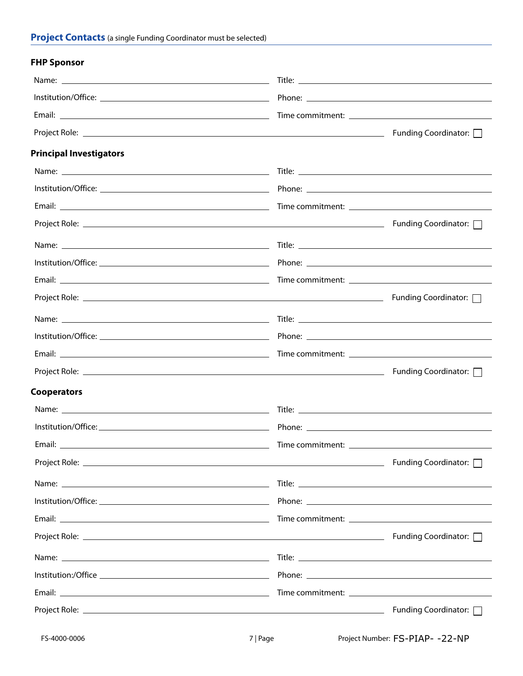## **FHP Sponsor**

| <b>Principal Investigators</b> |                        |
|--------------------------------|------------------------|
|                                |                        |
|                                |                        |
|                                |                        |
|                                |                        |
|                                |                        |
|                                |                        |
|                                |                        |
|                                |                        |
|                                |                        |
|                                |                        |
|                                |                        |
|                                |                        |
| <b>Cooperators</b>             |                        |
|                                |                        |
|                                |                        |
|                                |                        |
|                                |                        |
|                                |                        |
|                                |                        |
|                                |                        |
|                                |                        |
|                                |                        |
|                                |                        |
|                                |                        |
|                                | Funding Coordinator: □ |